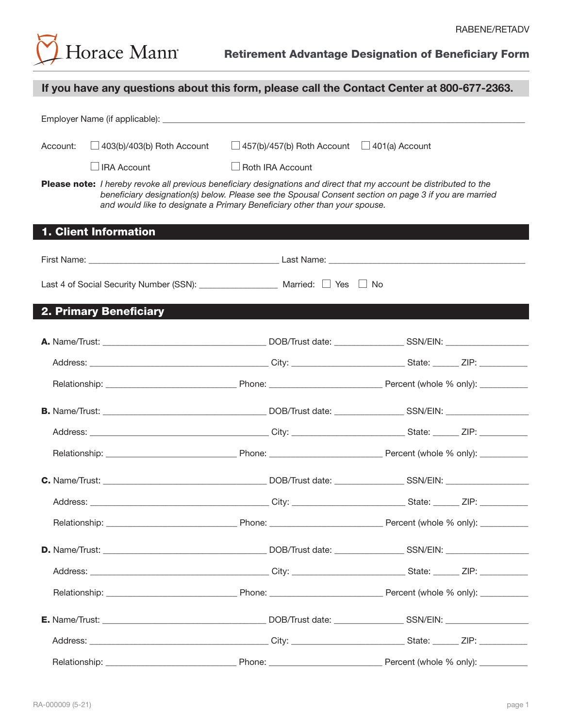

|          | If you have any questions about this form, please call the Contact Center at 800-677-2363.                                                                                                                                                                                                                |                                                         |  |
|----------|-----------------------------------------------------------------------------------------------------------------------------------------------------------------------------------------------------------------------------------------------------------------------------------------------------------|---------------------------------------------------------|--|
|          |                                                                                                                                                                                                                                                                                                           |                                                         |  |
| Account: | $\Box$ 403(b)/403(b) Roth Account                                                                                                                                                                                                                                                                         | $\Box$ 457(b)/457(b) Roth Account $\Box$ 401(a) Account |  |
|          | <b>JIRA Account</b>                                                                                                                                                                                                                                                                                       | $\Box$ Roth IRA Account                                 |  |
|          | Please note: I hereby revoke all previous beneficiary designations and direct that my account be distributed to the<br>beneficiary designation(s) below. Please see the Spousal Consent section on page 3 if you are married<br>and would like to designate a Primary Beneficiary other than your spouse. |                                                         |  |
|          | 1. Client Information                                                                                                                                                                                                                                                                                     |                                                         |  |
|          |                                                                                                                                                                                                                                                                                                           |                                                         |  |
|          | Last 4 of Social Security Number (SSN): ____________________ Married: □ Yes □ No                                                                                                                                                                                                                          |                                                         |  |
|          | <b>2. Primary Beneficiary</b>                                                                                                                                                                                                                                                                             |                                                         |  |
|          |                                                                                                                                                                                                                                                                                                           |                                                         |  |
|          |                                                                                                                                                                                                                                                                                                           |                                                         |  |
|          |                                                                                                                                                                                                                                                                                                           |                                                         |  |
|          |                                                                                                                                                                                                                                                                                                           |                                                         |  |
|          |                                                                                                                                                                                                                                                                                                           |                                                         |  |
|          |                                                                                                                                                                                                                                                                                                           |                                                         |  |
|          |                                                                                                                                                                                                                                                                                                           |                                                         |  |
|          |                                                                                                                                                                                                                                                                                                           |                                                         |  |
|          |                                                                                                                                                                                                                                                                                                           |                                                         |  |
|          |                                                                                                                                                                                                                                                                                                           |                                                         |  |
|          |                                                                                                                                                                                                                                                                                                           |                                                         |  |
|          |                                                                                                                                                                                                                                                                                                           |                                                         |  |
|          |                                                                                                                                                                                                                                                                                                           |                                                         |  |
|          |                                                                                                                                                                                                                                                                                                           |                                                         |  |
|          |                                                                                                                                                                                                                                                                                                           |                                                         |  |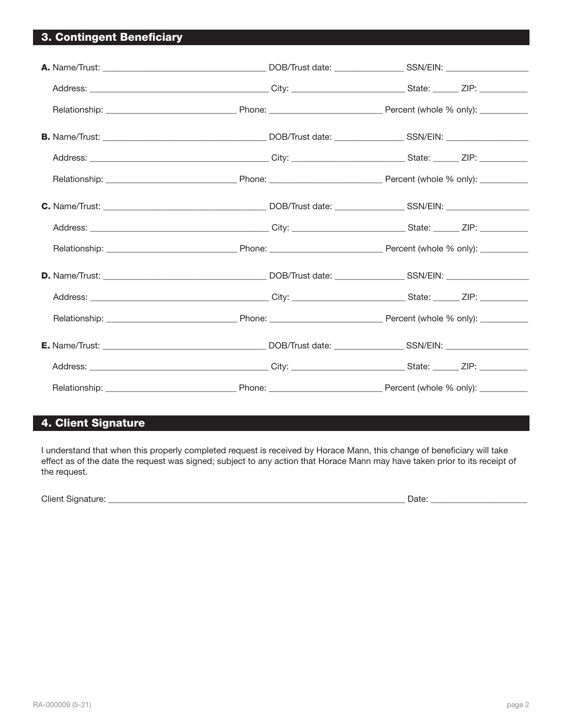# 3. Contingent Beneficiary

# 4. Client Signature

I understand that when this properly completed request is received by Horace Mann, this change of beneficiary will take effect as of the date the request was signed; subject to any action that Horace Mann may have taken prior to its receipt of the request.

Client Signature: \_\_\_\_\_\_\_\_\_\_\_\_\_\_\_\_\_\_\_\_\_\_\_\_\_\_\_\_\_\_\_\_\_\_\_\_\_\_\_\_\_\_\_\_\_\_\_\_\_\_\_\_\_\_\_\_\_\_\_\_\_\_\_\_\_\_\_\_ Date: \_\_\_\_\_\_\_\_\_\_\_\_\_\_\_\_\_\_\_\_\_\_ [[SertifiSignature\_1]] [[SertifiDate\_1]]